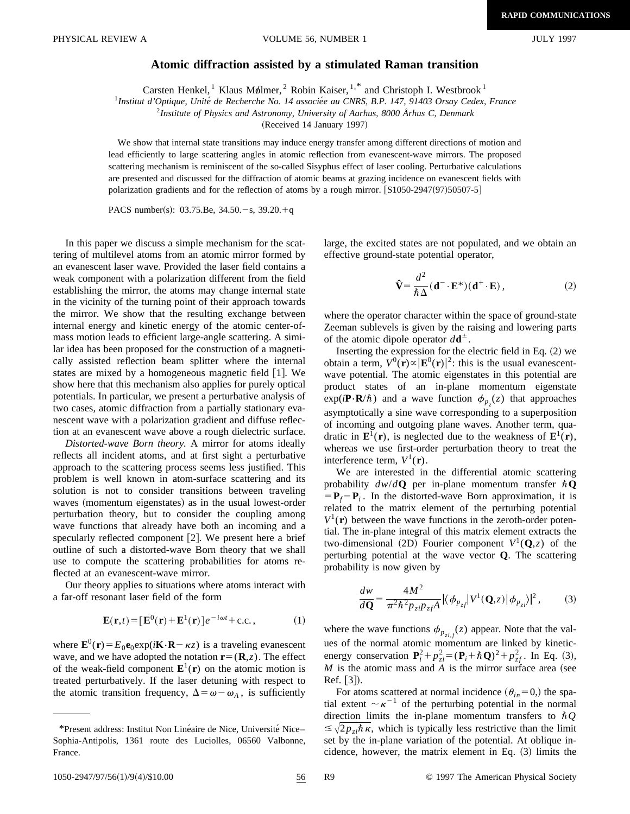## **Atomic diffraction assisted by a stimulated Raman transition**

Carsten Henkel, <sup>1</sup> Klaus Mølmer, <sup>2</sup> Robin Kaiser, <sup>1,\*</sup> and Christoph I. Westbrook <sup>1</sup>

<sup>1</sup>Institut d'Optique, Unité de Recherche No. 14 associée au CNRS, B.P. 147, 91403 Orsay Cedex, France

<sup>2</sup>*Institute of Physics and Astronomy, University of Aarhus, 8000 Århus C, Denmark*

(Received 14 January 1997)

We show that internal state transitions may induce energy transfer among different directions of motion and lead efficiently to large scattering angles in atomic reflection from evanescent-wave mirrors. The proposed scattering mechanism is reminiscent of the so-called Sisyphus effect of laser cooling. Perturbative calculations are presented and discussed for the diffraction of atomic beams at grazing incidence on evanescent fields with polarization gradients and for the reflection of atoms by a rough mirror. [S1050-2947(97)50507-5]

PACS number(s): 03.75.Be,  $34.50.-s$ ,  $39.20.+q$ 

In this paper we discuss a simple mechanism for the scattering of multilevel atoms from an atomic mirror formed by an evanescent laser wave. Provided the laser field contains a weak component with a polarization different from the field establishing the mirror, the atoms may change internal state in the vicinity of the turning point of their approach towards the mirror. We show that the resulting exchange between internal energy and kinetic energy of the atomic center-ofmass motion leads to efficient large-angle scattering. A similar idea has been proposed for the construction of a magnetically assisted reflection beam splitter where the internal states are mixed by a homogeneous magnetic field  $[1]$ . We show here that this mechanism also applies for purely optical potentials. In particular, we present a perturbative analysis of two cases, atomic diffraction from a partially stationary evanescent wave with a polarization gradient and diffuse reflection at an evanescent wave above a rough dielectric surface.

*Distorted-wave Born theory.* A mirror for atoms ideally reflects all incident atoms, and at first sight a perturbative approach to the scattering process seems less justified. This problem is well known in atom-surface scattering and its solution is not to consider transitions between traveling waves (momentum eigenstates) as in the usual lowest-order perturbation theory, but to consider the coupling among wave functions that already have both an incoming and a specularly reflected component  $[2]$ . We present here a brief outline of such a distorted-wave Born theory that we shall use to compute the scattering probabilities for atoms reflected at an evanescent-wave mirror.

Our theory applies to situations where atoms interact with a far-off resonant laser field of the form

$$
\mathbf{E}(\mathbf{r},t) = [\mathbf{E}^{0}(\mathbf{r}) + \mathbf{E}^{1}(\mathbf{r})]e^{-i\omega t} + \text{c.c.},
$$
 (1)

where  $\mathbf{E}^0(\mathbf{r}) = E_0 \mathbf{e}_0 \exp(i\mathbf{K} \cdot \mathbf{R} - \kappa z)$  is a traveling evanescent wave, and we have adopted the notation  $\mathbf{r} = (\mathbf{R}, z)$ . The effect of the weak-field component  $\mathbf{E}^1(\mathbf{r})$  on the atomic motion is treated perturbatively. If the laser detuning with respect to the atomic transition frequency,  $\Delta = \omega - \omega_A$ , is sufficiently large, the excited states are not populated, and we obtain an effective ground-state potential operator,

$$
\hat{\mathbf{V}} = \frac{d^2}{\hbar \Delta} (\mathbf{d}^- \cdot \mathbf{E}^*)(\mathbf{d}^+ \cdot \mathbf{E}), \qquad (2)
$$

where the operator character within the space of ground-state Zeeman sublevels is given by the raising and lowering parts of the atomic dipole operator  $d\mathbf{d}^{\pm}$ .

Inserting the expression for the electric field in Eq.  $(2)$  we obtain a term,  $V^0(\mathbf{r}) \propto |\mathbf{E}^0(\mathbf{r})|^2$ : this is the usual evanescentwave potential. The atomic eigenstates in this potential are product states of an in-plane momentum eigenstate  $\exp(i\mathbf{P}\cdot\mathbf{R}/\hbar)$  and a wave function  $\phi_{p_z}(z)$  that approaches asymptotically a sine wave corresponding to a superposition of incoming and outgoing plane waves. Another term, quadratic in  $\mathbf{E}^1(\mathbf{r})$ , is neglected due to the weakness of  $\mathbf{E}^1(\mathbf{r})$ , whereas we use first-order perturbation theory to treat the interference term,  $V^1(\mathbf{r})$ .

We are interested in the differential atomic scattering probability  $dw/dQ$  per in-plane momentum transfer  $\hbar Q$  $=$  **P**<sub>f</sub> $-$  **P**<sub>i</sub>. In the distorted-wave Born approximation, it is related to the matrix element of the perturbing potential  $V^1(\mathbf{r})$  between the wave functions in the zeroth-order potential. The in-plane integral of this matrix element extracts the two-dimensional (2D) Fourier component  $V^1(Q,z)$  of the perturbing potential at the wave vector **Q**. The scattering probability is now given by

$$
\frac{dw}{d\mathbf{Q}} = \frac{4M^2}{\pi^2 \hbar^2 p_{zi} p_{zf}} |\langle \phi_{p_{zf}} | V^1(\mathbf{Q}, z) | \phi_{p_{zi}} \rangle|^2, \qquad (3)
$$

where the wave functions  $\phi_{p_{zi,f}}(z)$  appear. Note that the values of the normal atomic momentum are linked by kineticenergy conservation  $P_i^2 + p_{zi}^2 = (P_i + \hbar Q)^2 + p_{zf}^2$ . In Eq. (3),  $M$  is the atomic mass and  $A$  is the mirror surface area (see Ref.  $\lceil 3 \rceil$ ).

For atoms scattered at normal incidence  $(\theta_{in}=0)$ , the spatial extent  $\sim \kappa^{-1}$  of the perturbing potential in the normal direction limits the in-plane momentum transfers to  $\hbar Q$  $\leq \sqrt{2p_{zi}\hslash \kappa}$ , which is typically less restrictive than the limit set by the in-plane variation of the potential. At oblique incidence, however, the matrix element in Eq.  $(3)$  limits the

<sup>\*</sup>Present address: Institut Non Linéaire de Nice, Université Nice– Sophia-Antipolis, 1361 route des Luciolles, 06560 Valbonne, France.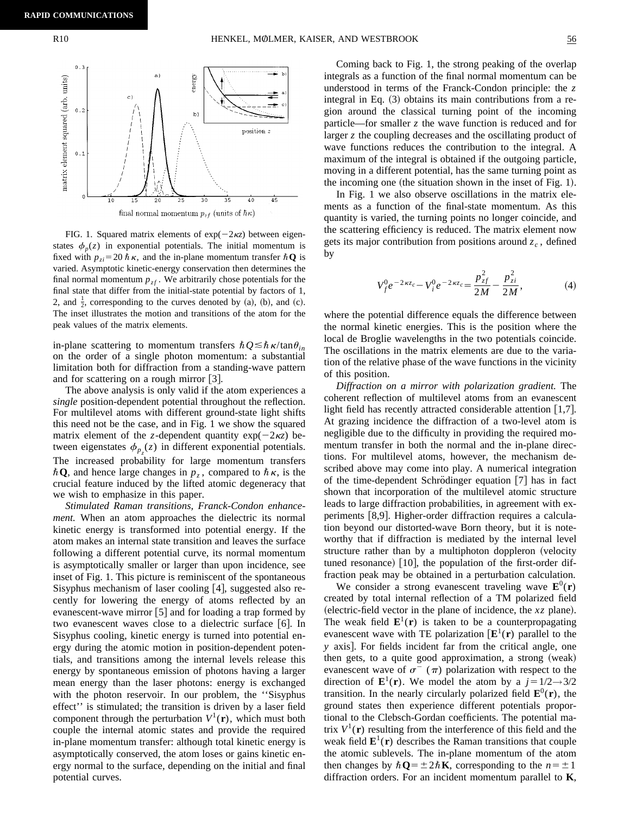

final normal momentum  $p_{zf}$  (units of  $\hbar \kappa)$ 

FIG. 1. Squared matrix elements of  $exp(-2\kappa z)$  between eigenstates  $\phi_p(z)$  in exponential potentials. The initial momentum is fixed with  $p_{zi}$ =20  $\hbar \kappa$ , and the in-plane momentum transfer  $\hbar \mathbf{Q}$  is varied. Asymptotic kinetic-energy conservation then determines the final normal momentum  $p_{zf}$ . We arbitrarily chose potentials for the final state that differ from the initial-state potential by factors of 1, 2, and  $\frac{1}{2}$ , corresponding to the curves denoted by (a), (b), and (c). The inset illustrates the motion and transitions of the atom for the peak values of the matrix elements.

in-plane scattering to momentum transfers  $\hbar Q \leq \hbar \kappa / \tan \theta_{in}$ on the order of a single photon momentum: a substantial limitation both for diffraction from a standing-wave pattern and for scattering on a rough mirror  $[3]$ .

The above analysis is only valid if the atom experiences a *single* position-dependent potential throughout the reflection. For multilevel atoms with different ground-state light shifts this need not be the case, and in Fig. 1 we show the squared matrix element of the *z*-dependent quantity  $exp(-2\kappa z)$  between eigenstates  $\phi_{p_z}(z)$  in different exponential potentials. The increased probability for large momentum transfers  $\hbar \mathbf{Q}$ , and hence large changes in  $p_z$ , compared to  $\hbar \kappa$ , is the crucial feature induced by the lifted atomic degeneracy that we wish to emphasize in this paper.

*Stimulated Raman transitions, Franck-Condon enhancement.* When an atom approaches the dielectric its normal kinetic energy is transformed into potential energy. If the atom makes an internal state transition and leaves the surface following a different potential curve, its normal momentum is asymptotically smaller or larger than upon incidence, see inset of Fig. 1. This picture is reminiscent of the spontaneous Sisyphus mechanism of laser cooling  $[4]$ , suggested also recently for lowering the energy of atoms reflected by an evanescent-wave mirror  $|5|$  and for loading a trap formed by two evanescent waves close to a dielectric surface  $[6]$ . In Sisyphus cooling, kinetic energy is turned into potential energy during the atomic motion in position-dependent potentials, and transitions among the internal levels release this energy by spontaneous emission of photons having a larger mean energy than the laser photons: energy is exchanged with the photon reservoir. In our problem, the ''Sisyphus effect'' is stimulated; the transition is driven by a laser field component through the perturbation  $V^1(\mathbf{r})$ , which must both couple the internal atomic states and provide the required in-plane momentum transfer: although total kinetic energy is asymptotically conserved, the atom loses or gains kinetic energy normal to the surface, depending on the initial and final potential curves.

Coming back to Fig. 1, the strong peaking of the overlap integrals as a function of the final normal momentum can be understood in terms of the Franck-Condon principle: the *z* integral in Eq.  $(3)$  obtains its main contributions from a region around the classical turning point of the incoming particle—for smaller *z* the wave function is reduced and for larger *z* the coupling decreases and the oscillating product of wave functions reduces the contribution to the integral. A maximum of the integral is obtained if the outgoing particle, moving in a different potential, has the same turning point as the incoming one (the situation shown in the inset of Fig. 1).

In Fig. 1 we also observe oscillations in the matrix elements as a function of the final-state momentum. As this quantity is varied, the turning points no longer coincide, and the scattering efficiency is reduced. The matrix element now gets its major contribution from positions around  $z_c$ , defined by

$$
V_f^0 e^{-2\kappa z_c} - V_i^0 e^{-2\kappa z_c} = \frac{p_{zf}^2}{2M} - \frac{p_{zi}^2}{2M},
$$
 (4)

where the potential difference equals the difference between the normal kinetic energies. This is the position where the local de Broglie wavelengths in the two potentials coincide. The oscillations in the matrix elements are due to the variation of the relative phase of the wave functions in the vicinity of this position.

*Diffraction on a mirror with polarization gradient.* The coherent reflection of multilevel atoms from an evanescent light field has recently attracted considerable attention  $\vert 1,7 \vert$ . At grazing incidence the diffraction of a two-level atom is negligible due to the difficulty in providing the required momentum transfer in both the normal and the in-plane directions. For multilevel atoms, however, the mechanism described above may come into play. A numerical integration of the time-dependent Schrödinger equation  $[7]$  has in fact shown that incorporation of the multilevel atomic structure leads to large diffraction probabilities, in agreement with experiments [8,9]. Higher-order diffraction requires a calculation beyond our distorted-wave Born theory, but it is noteworthy that if diffraction is mediated by the internal level structure rather than by a multiphoton doppleron (velocity tuned resonance) [10], the population of the first-order diffraction peak may be obtained in a perturbation calculation.

We consider a strong evanescent traveling wave  $\mathbf{E}^0(\mathbf{r})$ created by total internal reflection of a TM polarized field  $\alpha$  (electric-field vector in the plane of incidence, the *xz* plane). The weak field  $\mathbf{E}^1(\mathbf{r})$  is taken to be a counterpropagating evanescent wave with TE polarization  $[\mathbf{E}^1(\mathbf{r})]$  parallel to the *y* axis. For fields incident far from the critical angle, one then gets, to a quite good approximation, a strong (weak) evanescent wave of  $\sigma^-(\pi)$  polarization with respect to the direction of  $\mathbf{E}^1(\mathbf{r})$ . We model the atom by a  $j=1/2\rightarrow3/2$ transition. In the nearly circularly polarized field  $\mathbf{E}^0(\mathbf{r})$ , the ground states then experience different potentials proportional to the Clebsch-Gordan coefficients. The potential matrix  $V^1(\mathbf{r})$  resulting from the interference of this field and the weak field  $\mathbf{E}^1(\mathbf{r})$  describes the Raman transitions that couple the atomic sublevels. The in-plane momentum of the atom then changes by  $\hbar \mathbf{Q} = \pm 2\hbar \mathbf{K}$ , corresponding to the  $n = \pm 1$ diffraction orders. For an incident momentum parallel to **K**,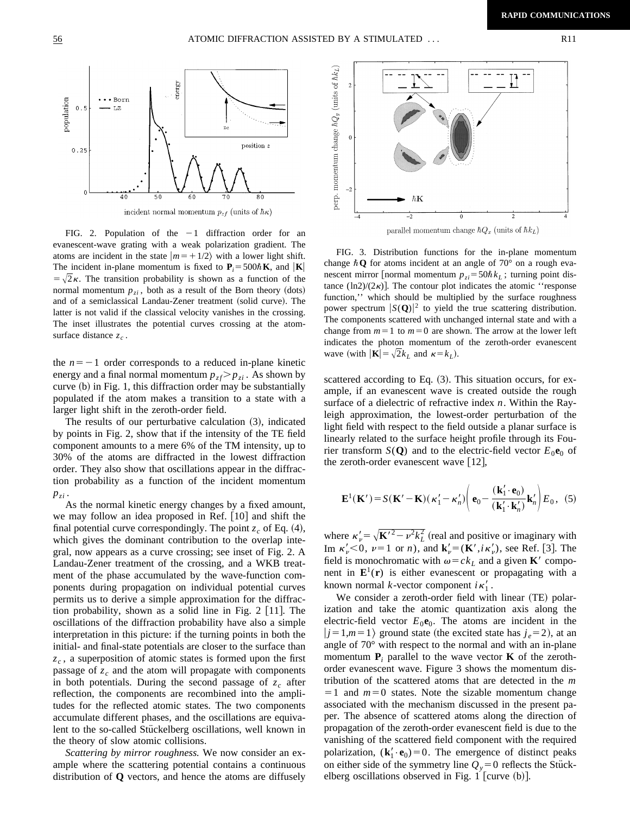

FIG. 2. Population of the  $-1$  diffraction order for an evanescent-wave grating with a weak polarization gradient. The atoms are incident in the state  $|m=+1/2\rangle$  with a lower light shift. The incident in-plane momentum is fixed to  $P_i = 500\hbar K$ , and  $|K|$  $= \sqrt{2\kappa}$ . The transition probability is shown as a function of the normal momentum  $p_{zi}$ , both as a result of the Born theory (dots) and of a semiclassical Landau-Zener treatment (solid curve). The latter is not valid if the classical velocity vanishes in the crossing. The inset illustrates the potential curves crossing at the atomsurface distance  $z_c$ .

the  $n=-1$  order corresponds to a reduced in-plane kinetic energy and a final normal momentum  $p_{zf} > p_{zi}$ . As shown by curve  $(b)$  in Fig. 1, this diffraction order may be substantially populated if the atom makes a transition to a state with a larger light shift in the zeroth-order field.

The results of our perturbative calculation  $(3)$ , indicated by points in Fig. 2, show that if the intensity of the TE field component amounts to a mere 6% of the TM intensity, up to 30% of the atoms are diffracted in the lowest diffraction order. They also show that oscillations appear in the diffraction probability as a function of the incident momentum  $p_{zi}$  .

As the normal kinetic energy changes by a fixed amount, we may follow an idea proposed in Ref.  $[10]$  and shift the final potential curve correspondingly. The point  $z_c$  of Eq. (4), which gives the dominant contribution to the overlap integral, now appears as a curve crossing; see inset of Fig. 2. A Landau-Zener treatment of the crossing, and a WKB treatment of the phase accumulated by the wave-function components during propagation on individual potential curves permits us to derive a simple approximation for the diffraction probability, shown as a solid line in Fig.  $2$  [11]. The oscillations of the diffraction probability have also a simple interpretation in this picture: if the turning points in both the initial- and final-state potentials are closer to the surface than  $z_c$ , a superposition of atomic states is formed upon the first passage of  $z_c$  and the atom will propagate with components in both potentials. During the second passage of  $z_c$  after reflection, the components are recombined into the amplitudes for the reflected atomic states. The two components accumulate different phases, and the oscillations are equivalent to the so-called Stückelberg oscillations, well known in the theory of slow atomic collisions.

*Scattering by mirror roughness.* We now consider an example where the scattering potential contains a continuous distribution of **Q** vectors, and hence the atoms are diffusely





FIG. 3. Distribution functions for the in-plane momentum change  $\hbar \mathbf{Q}$  for atoms incident at an angle of 70° on a rough evanescent mirror [normal momentum  $p_{zi} = 50\hbar k_L$ ; turning point distance  $(\ln 2)/(2\kappa)$ . The contour plot indicates the atomic "response" function,'' which should be multiplied by the surface roughness power spectrum  $|S(Q)|^2$  to yield the true scattering distribution. The components scattered with unchanged internal state and with a change from  $m=1$  to  $m=0$  are shown. The arrow at the lower left indicates the photon momentum of the zeroth-order evanescent wave (with  $|\mathbf{K}| = \sqrt{2}k_L$  and  $\kappa = k_L$ ).

scattered according to Eq.  $(3)$ . This situation occurs, for example, if an evanescent wave is created outside the rough surface of a dielectric of refractive index *n*. Within the Rayleigh approximation, the lowest-order perturbation of the light field with respect to the field outside a planar surface is linearly related to the surface height profile through its Fourier transform *S*(**Q**) and to the electric-field vector  $E_0$ **e**<sub>0</sub> of the zeroth-order evanescent wave  $[12]$ ,

$$
\mathbf{E}^{1}(\mathbf{K}') = S(\mathbf{K}' - \mathbf{K})(\kappa'_{1} - \kappa'_{n}) \left( \mathbf{e}_{0} - \frac{(\mathbf{k}'_{1} \cdot \mathbf{e}_{0})}{(\mathbf{k}'_{1} \cdot \mathbf{k}'_{n})} \mathbf{k}'_{n} \right) E_{0}, \quad (5)
$$

where  $\kappa'_{\nu} = \sqrt{K'^2 - \nu^2 k_L^2}$  (real and positive or imaginary with Im  $\kappa'_v < 0$ ,  $v = 1$  or *n*), and  $\mathbf{k}'_v = (\mathbf{K}', i\kappa'_v)$ , see Ref. [3]. The field is monochromatic with  $\omega = c k_L$  and a given **K**<sup> $\prime$ </sup> component in  $\mathbf{E}^1(\mathbf{r})$  is either evanescent or propagating with a known normal  $k$ -vector component  $i\kappa'_1$ .

We consider a zeroth-order field with linear (TE) polarization and take the atomic quantization axis along the electric-field vector  $E_0$ **e**<sub>0</sub>. The atoms are incident in the  $|j=1,m=1\rangle$  ground state (the excited state has  $j_e=2$ ), at an angle of 70° with respect to the normal and with an in-plane momentum  $P_i$  parallel to the wave vector **K** of the zerothorder evanescent wave. Figure 3 shows the momentum distribution of the scattered atoms that are detected in the *m*  $=1$  and  $m=0$  states. Note the sizable momentum change associated with the mechanism discussed in the present paper. The absence of scattered atoms along the direction of propagation of the zeroth-order evanescent field is due to the vanishing of the scattered field component with the required polarization,  $(\mathbf{k}'_1 \cdot \mathbf{e}_0) = 0$ . The emergence of distinct peaks on either side of the symmetry line  $Q_y = 0$  reflects the Stückelberg oscillations observed in Fig. 1 [curve  $(b)$ ].